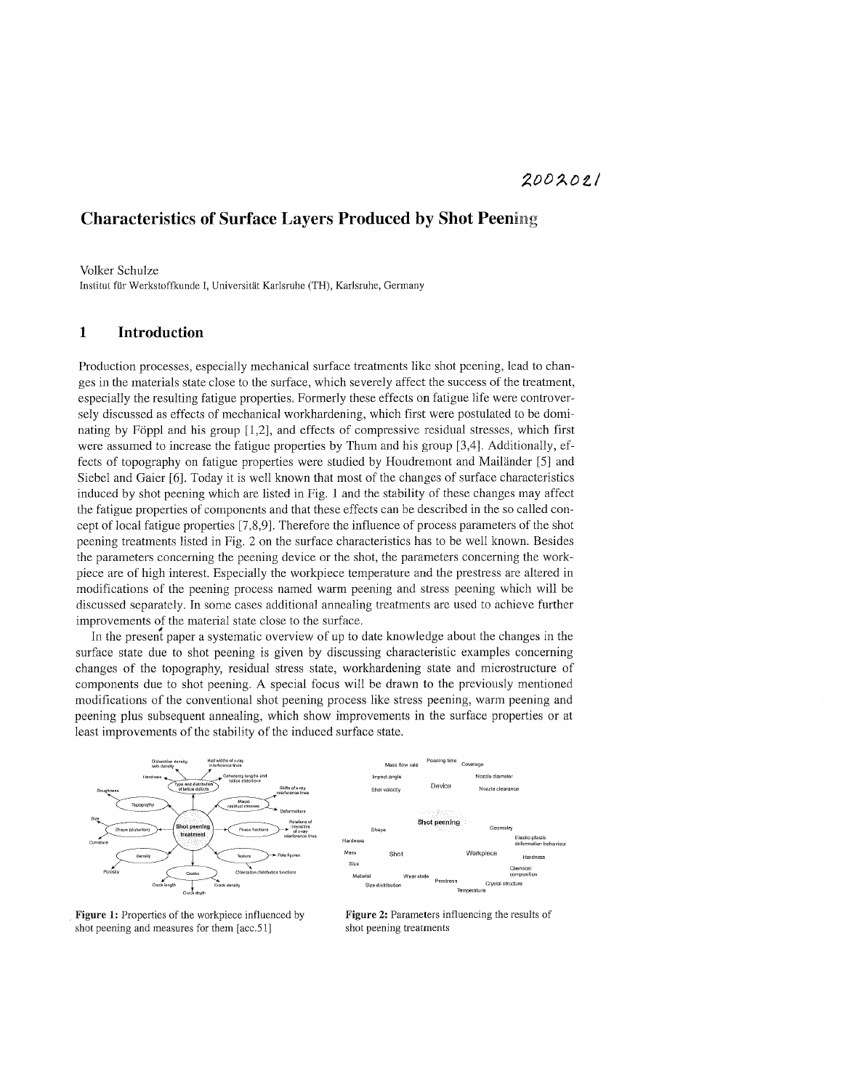# **Characteristics of Surface Layers Produced by Shot Peening**

Volker Schulze

Institut fiir Werkstoffkunde 1, Universitat Karlsruhe (TH), Karlsruhe, Germany

## **1 Introduction**

Production processes, especially mechanical surface treatments like shot peening, lead to changes in the materials state close to the surface, which severely affect the success of the treatment, especially the resulting fatigue properties. Formerly these effects on fatigue life were controversely discussed as effects of mechanical workhardening, which first were postulated to be dominating by Föppl and his group [1,2], and effects of compressive residual stresses, which first were assumed to increase the fatigue properties by Thum and his group [3,4]. Additionally, effects of topography on fatigue properties were studied by Houdremont and Mailander [5] and Siebel and Gaier [6]. Today it is well known that most of the changes of surface characteristics induced by shot peening which are listed in Fig. 1 and the stability of these changes may affect the fatigue properties of components and that these effects can be described in the so called concept of local fatigue properties [7,8,9]. 'Therefore the influence of process parameters of the shot peening treatments listed in Fig. 2 on the surface characteristics has to be well known. Besides the parameters concerning the peening device or the shot, the parameters concerning the workpiece are of high interest. Especially the workpiece temperature and the prestress are altered in modifications of the peening process named warm peening and stress peening which will be discussed separately. Tn some cases additional annealing treatments are used to achieve further improvements of the material state close to the surface.

In the present paper a systematic overview of up to date knowledge about the changes in the surface state due to shot peening is given by discussing characteristic examples concerning changes of the topography, residual stress state, workhardening state and microstructure of components due to shot peening. A special focus will be drawn to the previously mentioned modifications of the conventional shot peening process like stress peening, warm peening and peening plus subsequent annealing, which show improvements in the surface properties or at least improvements of the stability of the induced surface state.



**Figure 1:** Properties of the workpiece influenced by shot peening and measures for them [acc.51]



**Figure 2:** Parameters influencing the results of shot peening treatments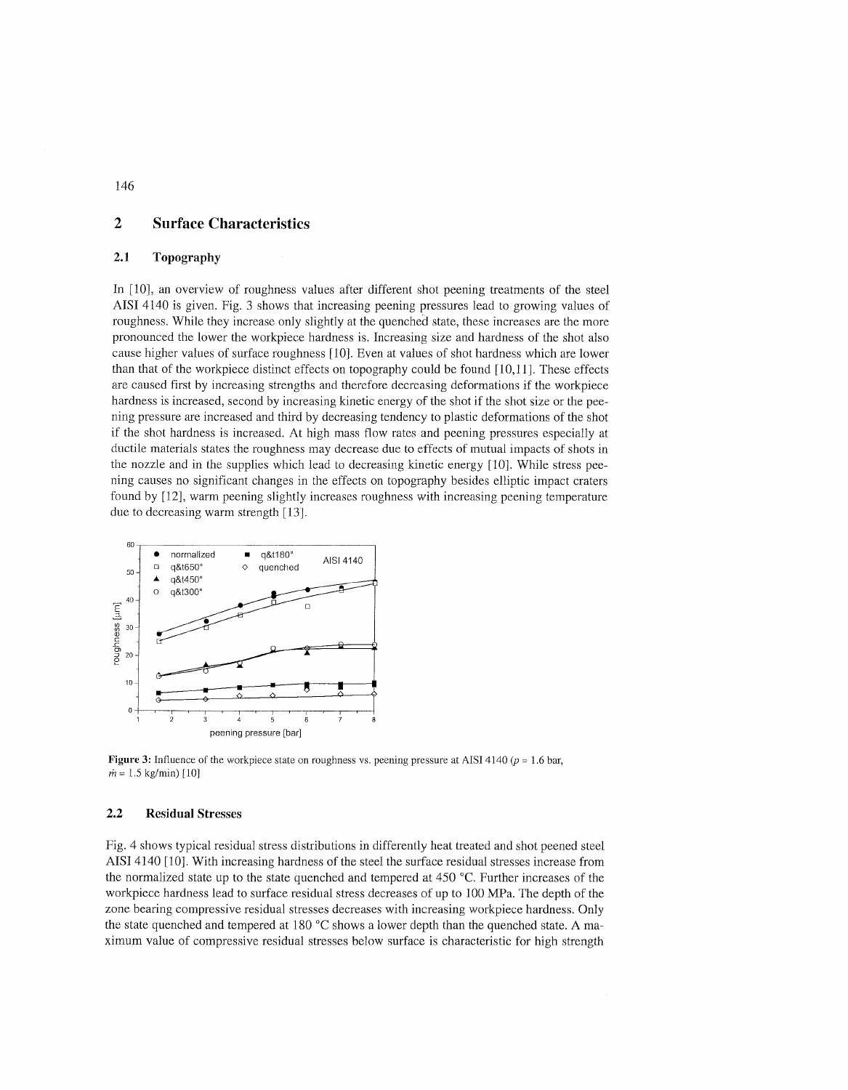## **2 Surface Characteristics**

### **2.1 Topography**

In [10], an overview of roughness values after different shot peening treatments of the steel AISI 4140 is given. Fig. 3 shows that increasing peening pressures lead to growing values of roughness. While they increase only slightly at the quenched state, these increases are the more pronounced the lower the workpiece hardness is. Increasing size and hardness of the shot also cause higher values of surface roughness [10]. Even at values of shot hardness which are lower than that of the workpiece distinct effects on topography could be found [10,11]. These effects are caused first by increasing strengths and therefore decreasing deformations if the workpiece hardness is increased, second by increasing kinetic energy of the shot if the shot size or the peening pressure are increased and third by decreasing tendency to plastic deformations of' the shot if the shot hardness is increased. At high mass flow rates and peening pressures especially at ductile materials states the roughness may decrease due to effects of mutual impacts of shots in the nozzle and in the supplies which lead to decreasing kinetic energy [lo]. While stress peening causes no significant changes in the effects on topography besides elliptic impact craters found by [12], warm peening slightly increases roughness with increasing peening temperature due to decreasing warm strength [13].



**Figure 3:** Influence of the workpiece state on roughness vs. peening pressure at AISI 4140  $(p = 1.6 \text{ bar})$  $\dot{m} = 1.5$  kg/min) [10]

### **2.2 Residual Stresses**

Fig. 4 shows typical residual stress distributions in differently heat treated and shot peened steel AISI 4140 [10]. With increasing hardness of the steel the surface residual stresses increase from the normalized state up to the state quenched and tempered at 450 "C. Further increases of the workpiece hardness lead to surface residual stress decreases of up to 100 MPa. The depth of the zonc bearing compressive residual stresses decreases with increasing workpiece hardness. Only the state quenched and tempered at 180 °C shows a lower depth than the quenched state. A maximum value of compressive residual stresses below surface is characteristic for high strength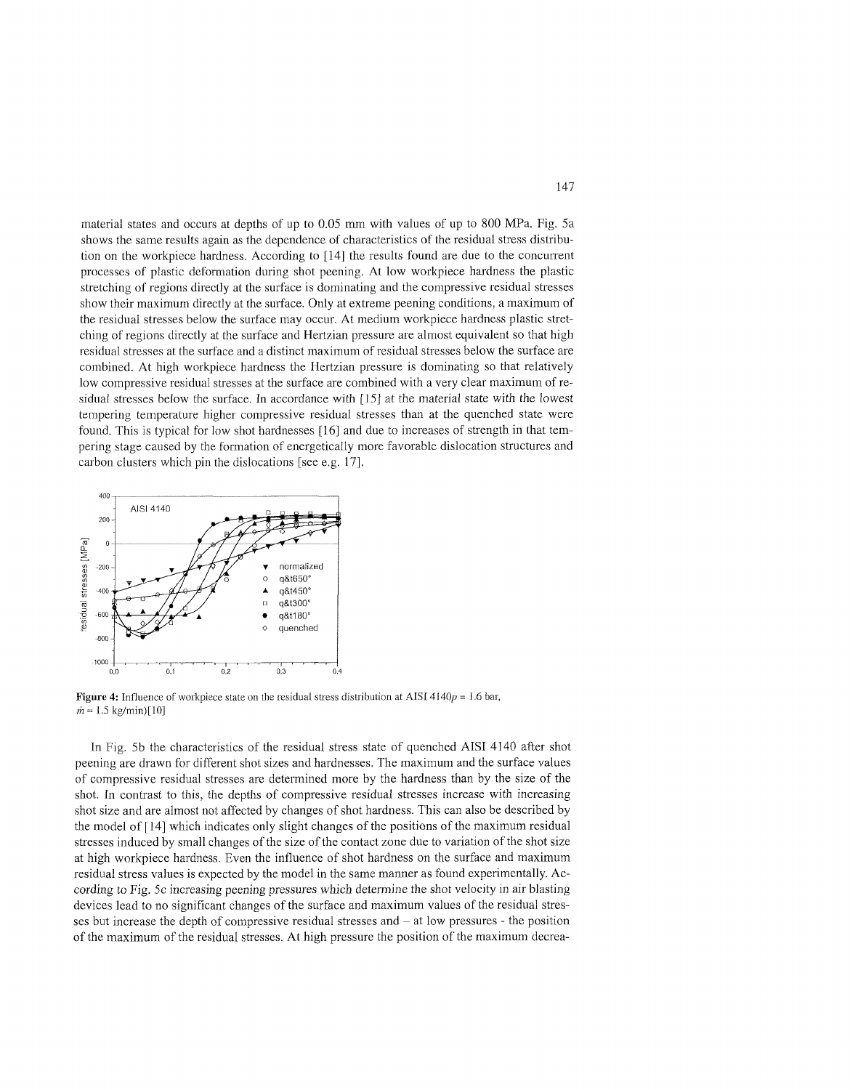material states and occurs at depths of up to 0.05 mm with values of up to 800 MPa. Fig. Sa shows the same results again as the dependence of characteristics of the residual stress distribution on the workpiece hardness. According to [14] the results found are due to the concurrent processes of plastic deformation during shot peening. At low workpiece hardness the plastic stretching of regions directly at the surface is dominating and the compressive residual stresses show their maximum directly at the surface. Only at extreme peening conditions, a maximum of the residual stresses below the surface may occur. At medium workpiece hardness plastic stretching of regions directly at the surface and Hertzian pressure are almost equivalent so that high residual stresses at the surface and a distinct maximum of residual stresses below the surface are combined. At high workpiece hardness the Hertzian pressure is dominating so that relatively low compressive residual stresses at the surface are combined with a very clear maximum of residual stresses below the surface. In accordance with [IS] at the material state with the lowest tempering temperature higher compressive residual stresses than at the quenched state were found. This is typical for low shot hardnesses [16] and due to increases of strength in that tempering stage caused by the formation of energetically more favorable dislocation structures and carbon clusters which pin the dislocations [see e.g. 171.



**Figure 4:** Influence of workpiece state on the residual stress distribution at AISI  $4140p = 1.6$  bar,  $m = 1.5$  kg/min)[10]

In Fig. 5b the characteristics of the residual stress state of quenched AISI 4140 after shot peening are drawn for different shot sizes and hardnesses. The maximum and the surface values of compressive residual stresses are determined more by the hardness than by the size of the shot. In contrast to this, the depths of compressive residual stresses increase with increasing shot size and are almost not affected by changes of shot hardness. This can also be described by the model of [14] which indicates only slight changes of the positions of the maximum residual stresses induced by small changes of the size of the contact zone due to variation of the shot size at high workpiece hardness. Even the influence of shot hardness on the surface and maximum residual stress values is expected by the model in the same manner as found experimentally. According to Fig. 5c increasing peening pressures which determine the shot velocity in air blasting devices lead to no significant changes of the surface and maximum values of the residual stresses but increase the depth of compressive residual stresses and - at low pressures - the position of the maximum of the residual stresses. At high pressure the position of the maximum decrea-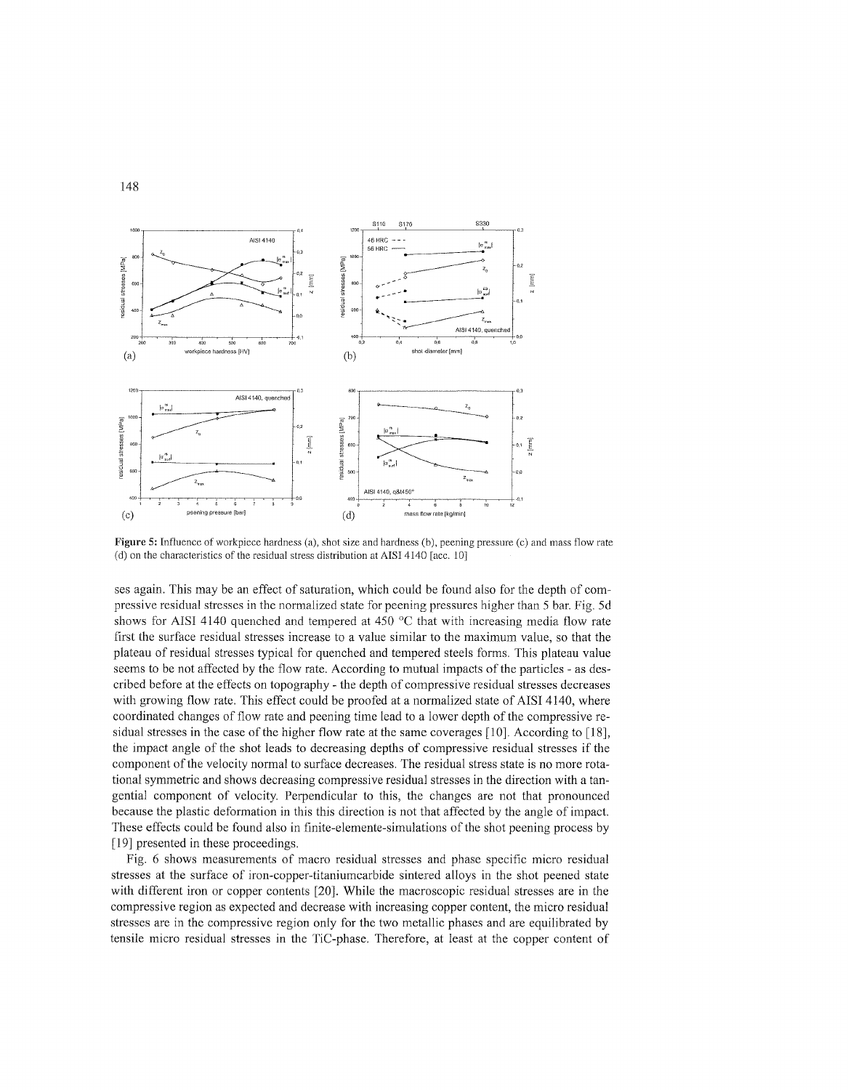

**Figure** 5: Influence of workpiece hardness (a), shot size and hardness (b), peening pressure (c) and mass flow rate (d) on the characteristics of the residual stress distribution at AISI 4140 [acc. 101

ses again. This may be an effect of saturation, which could be found also for the depth of compressive residual stresses in the normalized state for peening pressures higher than 5 bar. Fig. 5d shows for AISI 4140 quenched and tempered at 450 "C that with increasing media flow rate first the surface residual stresses increase to a value similar to the maximum value, so that the plateau of residual stresses typical for quenched and tempered steels forms. This plateau value seems to be not affected by the flow rate. According to mutual impacts of the particles - as described before at the effects on topography - the depth of compressive residual stresses decreases with growing flow rate. This effect could be proofed at a normalized state of AISI 4140, where coordinated changes of flow rate and peening time lead to a lower depth of the compressive residual stresses in the case of the higher flow rate at the same coverages  $[10]$ . According to  $[18]$ , the impact angle of the shot leads to decreasing depths of compressive residual stresses if the component of the velocity normal to surface decreases. The residual stress state is no more rotational symmetric and shows decreasing compressive residual stresses in the direction with a tangential component of velocity. Perpendicular to this, the changes are not that pronounced because the plastic deformation in this this direction is not that affected by the angle of impact. These effects could be found also in finite-elemente-simulations of the shot peening process by [19] presented in these proceedings.

Fig. 6 shows measurements of macro residual stresses and phase specific micro residual stresses at the surface of iron-copper-titaniumcarhide sintered alloys in the shot peened state with different iron or copper contents [20]. While the macroscopic residual stresses are in the compressive region as expected and decrease with increasing copper content, the micro residual stresses are in the compressive region only for the two metallic phases and are equilibrated by tensile micro residual stresses in the Tic-phase. Therefore, at least at the copper content of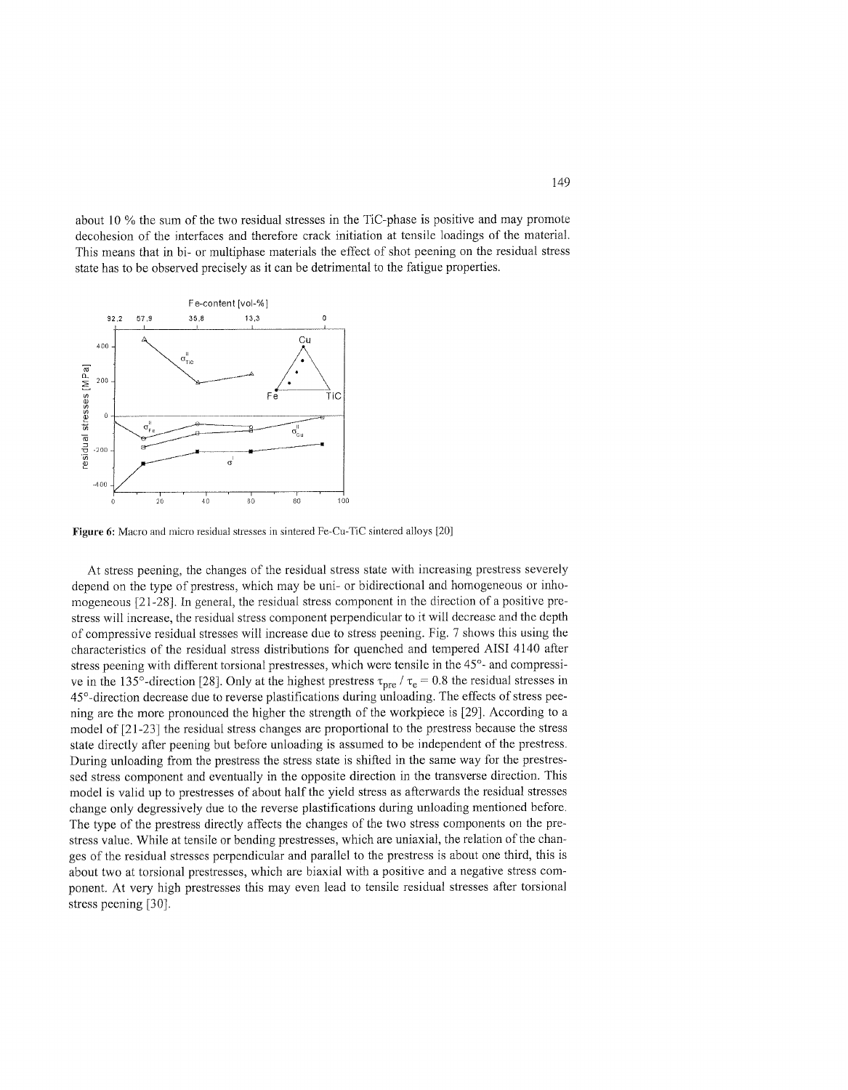about 10 % the sum of the two residual stresses in the Tic-phase is positive and may promote decohesion of the interfaces and therefore crack initiation at tensile loadings of the material. This means that in bi- or multiphase materials the effect of shot peening on the residual stress state has to be observed precisely as it can be detrimental to the fatigue properties.



**Figure** 6: Macro and micro residual stresses in sintered Fe-Cu-Tic sintered alloys [20]

At stress peening, the changes of the residual stress state with increasing prestress severely depend on the type of prestress, which may be uni- or bidirectional and homogeneous or inhomogeneous [21-281. In general, the residual stress component in the direction of a positive prestress will increase, the residual stress component perpendicular to it will decrease and the depth of compressive residuai stresses wili increase due to stress peening. Fig. 7 shows this using the characteristics of the residual stress distributions for quenched and tempered AISI 4140 after stress peening with different torsional prestresses, which were tensile in the 45°- and compressive in the 135°-direction [28]. Only at the highest prestress  $\tau_{pre}$  /  $\tau_e$  = 0.8 the residual stresses in 45"-direction decrease due to reverse plastifications during unloading. The effects of stress peening are the more pronounced the higher the strength of the workpiece is [29]. According to a model of [2 1-23] the residual stress changes are proportional to the prestress because the stress state directly after peening but before unloading is assumed to be independent of the prestress. During unloading from the prestress the stress state is shifted in the same way for the prestressed stress component and eventually in the opposite direction in the transverse direction. This model is valid up to prestresses of about half the yield stress as afterwards the residual stresses change only degressively due to the reverse plastifications during unloading mentioned before. The type of the prestress directly affects the changes of the two stress components on the prestress value. While at tensile or bending prestresses, which are uniaxial, the relation of the changes of the residual stresses perpendicular and parallel to the prestress is about one third, this is about two at torsional prestresses, which are biaxial with a positive and a negative stress component. At very high prestresses this may even lead to tensile residual stresses after torsional stress peening [30].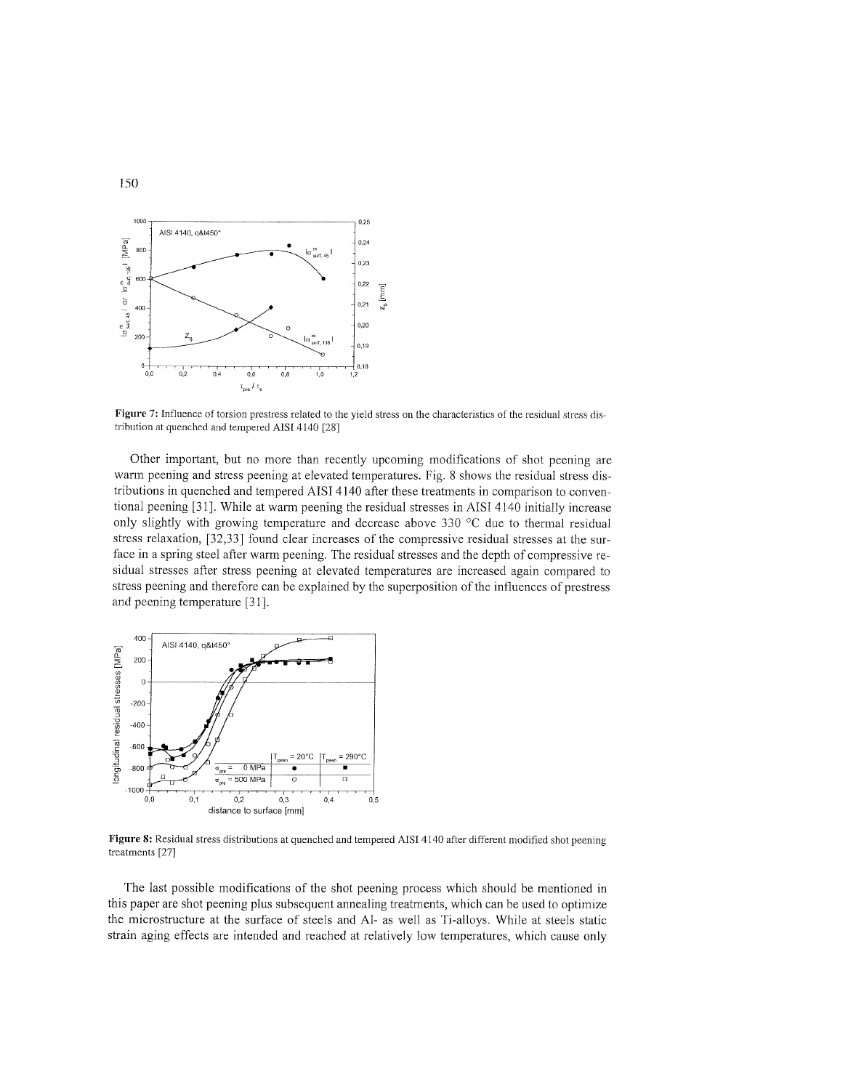

**Figure** 7: Influence of torsion prestress related to the yield stress on the characteristics of the residual stress distribution at quenched and tempered AISI 4140 [28]

Other important, but no more than recently upcoming modifications of shot peening are warm peening and stress peening at elevated temperatures. Fig. 8 shows the residual stress distributions in quenched and tempered AISI 4140 after these treatments in comparison to conventional peening [31]. While at warm peening the residual stresses in AISI 4140 initially increase only slightly with growing temperature and decrease above 330  $\degree$ C due to thermal residual stress relaxation,  $[32,33]$  found clear increases of the compressive residual stresses at the surface in a spring steel after warm peening. The residual stresses and the depth of compressive residual stresses after stress peening at elevated temperatures are increased again compared to stress peening and therefore can be explained by the superposition of the influences of prestress and peening temperature [31].



**Figure** 8: Residual stress distributions at quenched and tempered AISI 4140 after different modified shot peening treatments [27]

The last possible modifications of the shot peening process which should be mentioned in this paper are shot peening plus subsequent annealing treatments, which can be used to optimize the microstructure at the surface of steels and Al- as well as Ti-alloys. While at steels static strain aging effects are intended and reached at relatively low temperatures, which cause only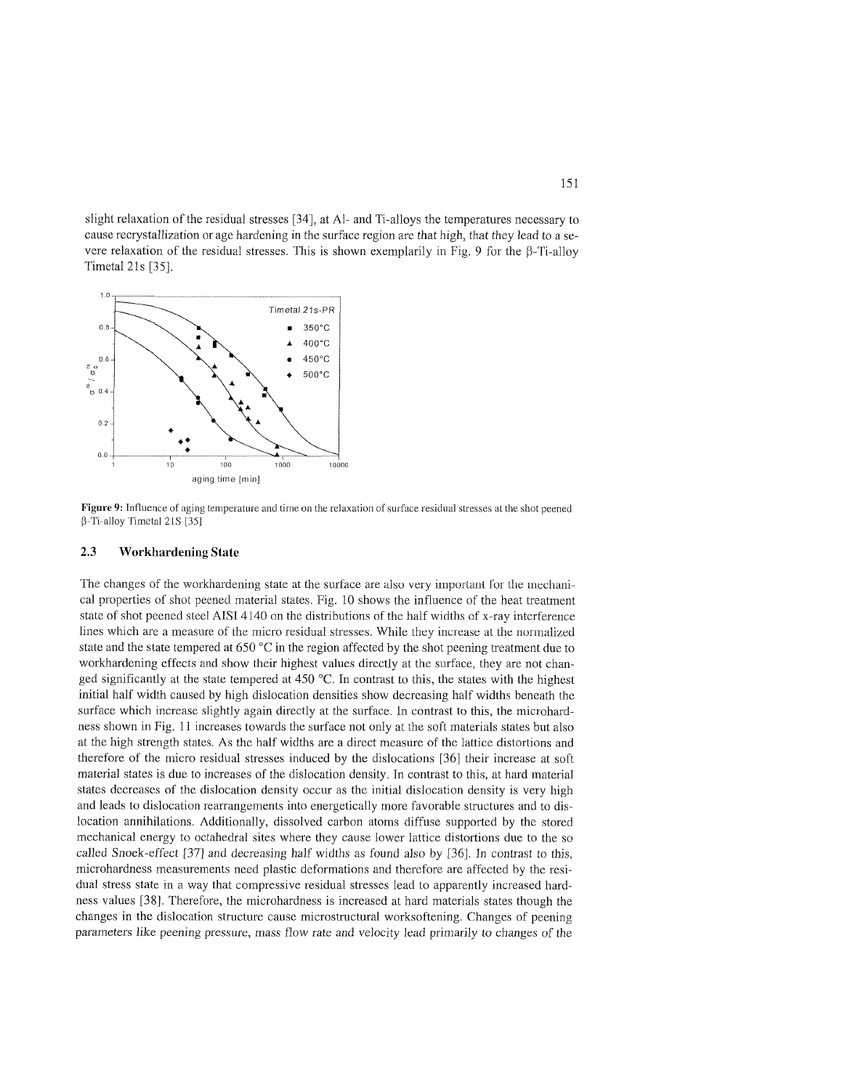slight relaxation of the residual stresses [34], at Al- and Ti-alloys the temperatures necessary to cause recrystallization or age hardening in the surface region are that high, that they lead to a severe relaxation of the residual stresses. This is shown exemplarily in Fig. 9 for the  $\beta$ -Ti-alloy Timetal 21s [35].



Figure 9: Influence of aging temperature and time on the relaxation of surface residual stresses at the shot peened  $\beta$ -Ti-alloy Timetal 21S [35]

#### **2.3 Workhardening State**

The changes of the workhardening state at the surface are also very important for the mechanical properties of shot peened material states. Fig. 10 shows the influence of the heat treatment state of shot peened steel AISI 4140 on the distributions of the half widths of x-ray interference lines which are a measure of the micro residual stresses. While they increase at the normalized state and the state tempered at 650 *"C* in the region affected by the shot peening treatment due to workhardening effects and show their highest values directly at the surface, they are not changed significantly at the state tempered at 450  $^{\circ}$ C. In contrast to this, the states with the highest initial half width caused by high dislocation densities show decreasing half widths beneath the surface which increase slightly again directly at the surface. In contrast to this, the microhardness shown in Fig. 1 1 increases towards the surface not only at the soft materials states but also at the high strength states. As the half widths are a direct measure of the lattice distortions and therefore of the micro residual stresses induced by the dislocations [36] their increase at soft material states is due to increases of the dislocation density. In contrast to this, at hard material states decreases of the dislocation density occur as the initial dislocation density is very high and leads to dislocation rearrangements into energetically more favorable structures and to dislocation annihilations. Additionally, dissolved carbon atoms diffuse supported by the stored mechanical energy to octahedral sites where they cause lower lattice distortions due to the so called Snoek-effect *[37)* and decreasing half widths as found also by *[36).* In contrast to this, microhardness measurements need plastic deformations and therefore are affected by the residual stress state in a way that compressive residual stresses lead to apparently increased hardness values [38]. Therefore, the microhardness is increased at hard materials states though the changes in the dislocation structure cause microstructural worksoftening. Changes of peening parameters like peening pressure, mass flow rate and velocity lead primarily to changes of the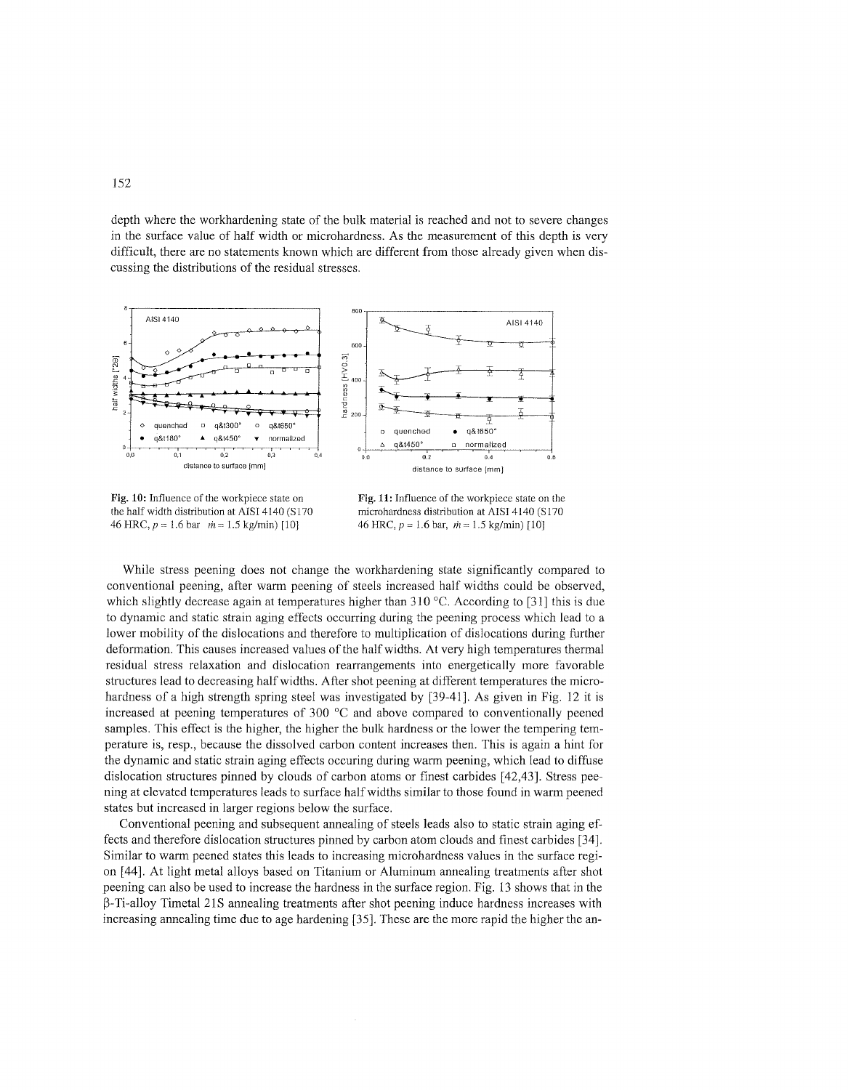depth where the workhardening state of the bulk material is reached and not to severe changes in the surface value of half width or microhardness. As the measurement of this depth is very difficult, there are no statements known which are different from those already given when discussing the distributions of the residual stresses



Fig. 10: Influence of the workpiece state on the half width distribution at AISI 4140 (S170 46 HRC,  $p = 1.6$  bar  $m = 1.5$  kg/min) [10]

Fig. **11:** Influence of the workpiece state on the microhardness distribution at AISI 4140 (S170 46 HRC,  $p = 1.6$  bar,  $\dot{m} = 1.5$  kg/min) [10]

While stress peening does not change the workhardening state significantly compared to conventional peening, after warm peening of steels increased half widths couid be observed, which slightly decrease again at temperatures higher than  $310^{\circ}$ C. According to [31] this is due to dynamic and static strain aging effects occurring during the peening process which lead to a lower mobility of the dislocations and therefore to multiplication of dislocations during further deformation. This causes increased values of the half widths. At very high temperatures thermal residual stress relaxation and dislocation rearrangements into energetically more favorable structures lead to decreasing half widths. After shot peening at different temperatures the microhardness of a high strength spring steel was investigated by [39-41]. As given in Fig. 12 it is increased at peening temperatures of  $300\degree\text{C}$  and above compared to conventionally peened samples. This effect is the higher, the higher the bulk hardness or the lower the tempering temperature is, resp., because the dissolved carbon content increases then. This is again a hint for the dynamic and static strain aging effects occuring during warm peening, which lead to diffuse dislocation structures pinned by clouds of carbon atoms or finest carbides [42,43]. Stress peening at elevated temperatures leads to surface half widths similar to those found in warm peened states but increased in larger regions below the surface.

Conventional peening and subsequent annealing of steels leads also to static strain aging effects and therefore dislocation structures pinned by carbon atom clouds and finest carbides [34]. Similar to warm peened states this leads to increasing microhardness values in the surface region [441. At light metal alloys based on Titanium or Aluminum annealing treatments after shot peening can also be used to increase the hardness in the surface region. Fig. 13 shows that in the P-Ti-alloy Timetal 21s annealing treatments after shot peening induce hardness increases with increasing annealing time due to age hardening [35]. These are the more rapid the higher the an-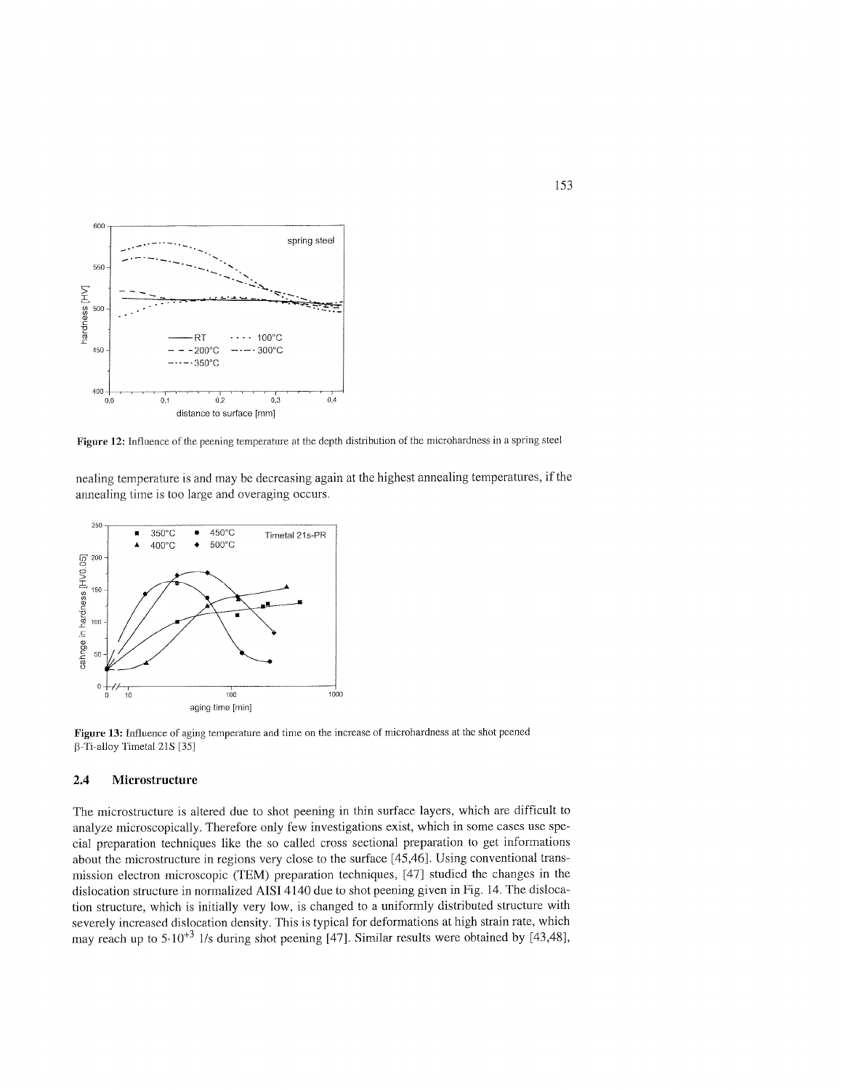

**Figure 12:** Influence of the peening temperature at the depth distribution of the microhardness in a spring steel

nealing temperature is and may be decreasing again at the highest annealing temperatures, if the annealing time is too large and overaging occurs.



Figure 13: Influence of aging temperature and time on the increase of microhardness at the shot peened  $\beta$ -Ti-alloy Timetal 21S [35]

#### **2.4 Microstructure**

The microstructure is altered due to shot peening in thin surface layers, which are difficult to analyze microscopically. Therefore only few investigations exist, which in some cases use special preparation techniques like the so called cross sectional preparation to get informations about the microstructure in regions very close to the surface [45,46]. Using conventional transmission electron microscopic (TEM) preparation techniques, [47] studied the changes in the dislocation structure in normalized AISI 4140 due to shot peening given in Fig. 14. The dislocation structure, which is initially very low, is changed to a uniformly distributed structure with severely increased dislocation density. This is typical for deformations at high strain rate, which may reach up to  $5.10^{+3}$  1/s during shot peening [47]. Similar results were obtained by [43,48],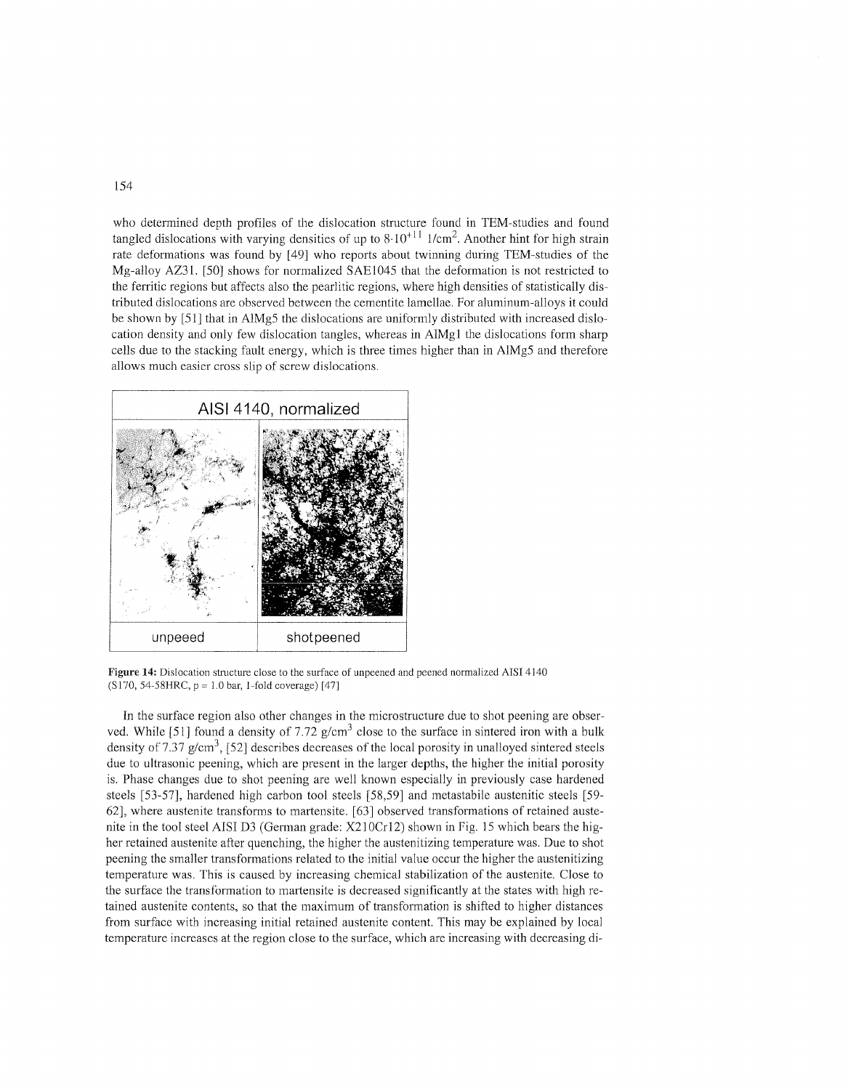who determined depth profiles of the dislocation structure found in TEM-studies and found tangled dislocations with varying densities of up to  $8.10^{+11}$  1/cm<sup>2</sup>. Another hint for high strain rate deformations was found by [491 who reports about twinning during TEM-studies of the Mg-alloy AZ31. [50] shows for normalized SAE1045 that the deformation is not restricted to the fenitic regions but affects also the pearlitic regions, where high densities of statistically distributed dislocations are observed between the cementite lamellae. For aluminum-alloys it could be shown by  $[51]$  that in AlMg5 the dislocations are uniformly distributed with increased dislocation density and only few dislocation tangles, whereas in AlMgI the dislocations form sharp cells due to the stacking fault energy, which is three times higher than in AlMg5 and therefore allows much easier cross slip of screw dislocations.



**Figure 14:** Dislocation structure close to the surface of unpeened and peened normalized AISI 4140  $(S170, 54-58HRC, p = 1.0 bar, 1-fold coverage)$  [47]

In the surface region also other changes in the microstructure due to shot peening are observed. While [51] found a density of 7.72  $g/cm<sup>3</sup>$  close to the surface in sintered iron with a bulk density of 7.37  $g/cm<sup>3</sup>$ , [52] describes decreases of the local porosity in unalloyed sintered steels due to ultrasonic peening, which are present in the larger depths, the higher the initial porosity is. Phase changes due to shot peening are well known especially in previously case hardened steels [53-571, hardened high carbon tool steels [58,59] and lnetastabile austenitic steels [59- 621, where austenite transforms to martensite. [63] observed transformations of retained austenite in the tool steel AISI D3 (German grade: X210Cr12) shown in Fig. 15 which bears the higher retained austenite after quenching, the higher the austenitizing temperature was. Due to shot peening the smaller transformations related to the initial value occur the higher the austenitizing temperature was. This is caused by increasing chemical stabilization of the austenite. Close to the surface the transformation to martensite is decreased significantly at the states with high retained austenite contents, so that the maximum of transformation is shifted to higher distances from surface with increasing initial retained austenite content. This may be explained by local temperature increases at the region close to the surface, which are increasing with decreasing di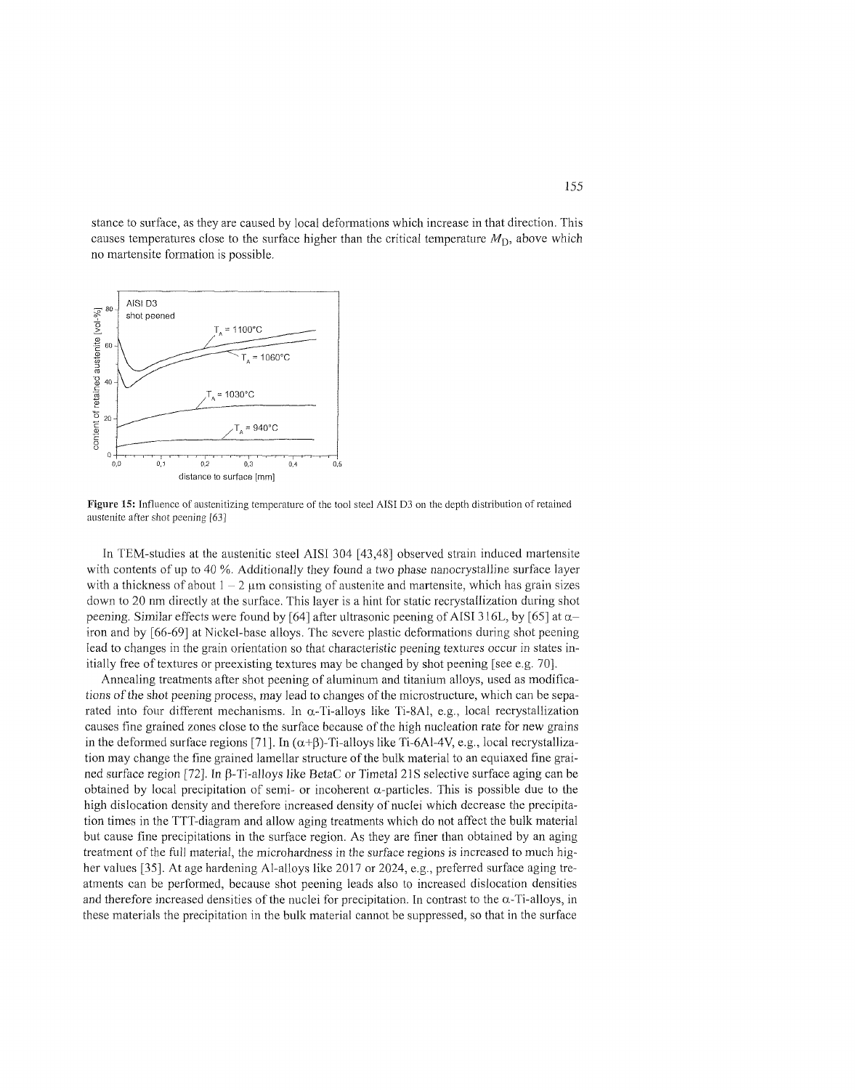stance to surface, as they are caused by local deformations which increase in that direction. This causes temperatures close to the surface higher than the critical temperature  $M_D$ , above which no martensite formation is possible.



**Figure 15:** Influence of austenitizing temperature of the tool steel AISI D3 on the depth distribution of retained austenite after shot peening [63]

In TEM-studies at the austenitic steel AISI 304  $[43,48]$  observed strain induced martensite with contents of up to 40 %. Additionally they found a two phase nanocrystalline surface layer with a thickness of about  $1 - 2$  um consisting of austenite and martensite, which has grain sizes down to 20 nm directly at the surface. This layer is a hint for static recrystallization during shot peening. Similar effects were found by [64] after ultrasonic peening of AISI 316L, by [65] at  $\alpha$ iron and by [66-69] at Nickel-base alloys. The severe plastic deformations during shot peening lead to changes in the grain orientation so that characteristic peening textures occur in states initially free of textures or preexisting textures may be changed by shot peening [see e.g. 70].

Annealing treatments after shot peening of aluminum and titanium alloys, used as modifications of the shot peening process, may lead to changes of the microstructure, which can be separated into four different mechanisms. In  $\alpha$ -Ti-alloys like Ti-8A1, e.g., local recrystallization causes fine grained zones close to the surface because of the high nucleation rate for new grains in the deformed surface regions [71]. In  $(\alpha+\beta)$ -Ti-alloys like Ti-6Al-4V, e.g., local recrystallization may change the fine grained lamellar structure of the bulk material to an equiaxed fine grained surface region [72]. In  $\beta$ -Ti-alloys like BetaC or Timetal 21S selective surface aging can be obtained by local precipitation of semi- or incoherent  $\alpha$ -particles. This is possible due to the high dislocation density and therefore increased density of nuclei which decrease the precipitation times in the TTT-diagram and allow aging treatments which do not affect the bulk material but cause fine precipitations in the surface region. As they are finer than obtained by an aging treatment of the full material, the microhardness in the surface regions is increased to much higher values  $[35]$ . At age hardening Al-alloys like 2017 or 2024, e.g., preferred surface aging treatments can be performed, because shot peening leads also to increased dislocation densities and therefore increased densities of the nuclei for precipitation. In contrast to the  $\alpha$ -Ti-alloys, in these materials the precipitation in the bulk material cannot be suppressed, so that in the surface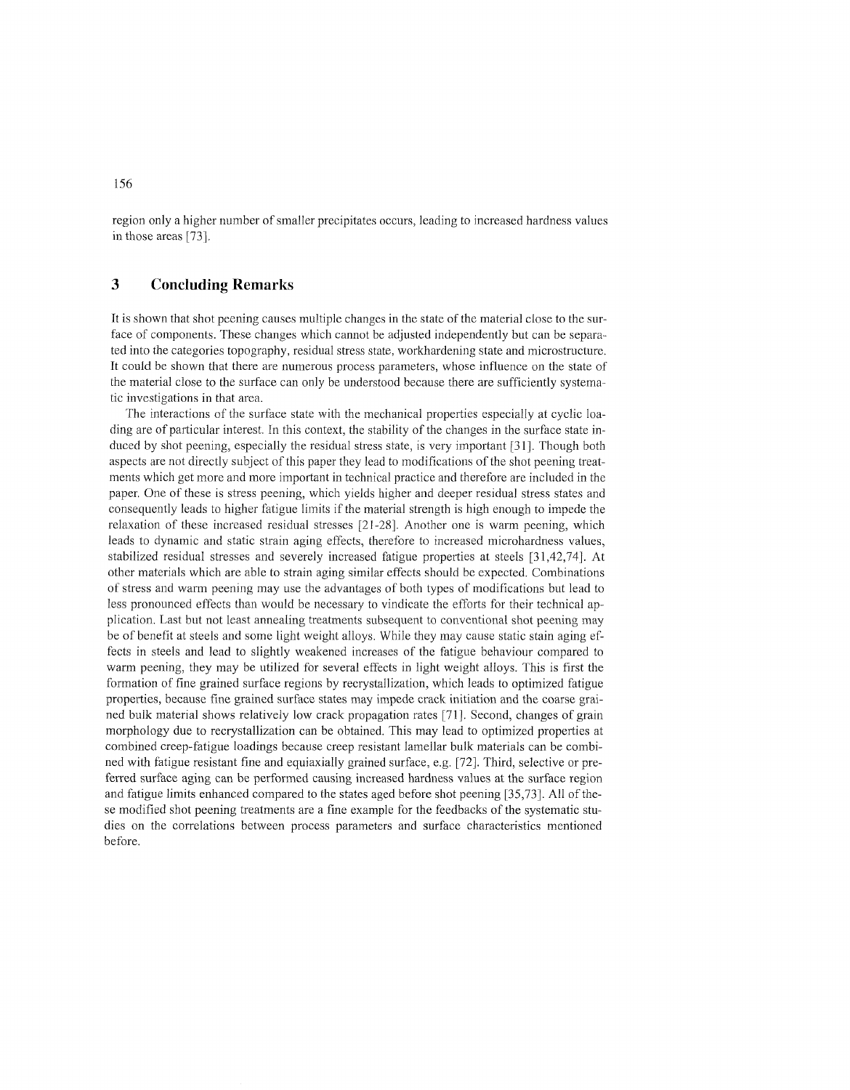region only a higher number of smaller precipitates occurs, leading to increased hardness values in those areas [73].

# **3 Concluding Remarks**

It is shown that shot peening causes multiple changes in the state of the material close to the surface of components. These changes which cannot be adjusted independently but can be separated into the categories topography, residual stress state, workhardening state and microstructure. It could be shown that there are numerous process parameters, whose influence on the state of the material close to the surface can only be understood because there are sufficiently systematic investigations in that area.

The interactions of the surface state with the mechanical properties especially at cyclic loading are of particular interest. In this context, the stability of the changes in the surface state induced by shot peening, especially the residual stress state, is very important  $[31]$ . Though both aspects are not directly subject of this paper they lead to modifications of the shot peening treatments which get more and more important in technical practice and therefore are included in the paper. One of these is stress peening, which yields higher and deeper residual stress states and consequently leads to higher fatigue limits if the material strength is high enough to impede the  $relaxation of these increased residual stresses [21-28]. Another one is warm peening, which$ leads to dynamic and static strain aging effects, therefore to increased microhardness values, stabilized residual stresses and severely increased fatigue properties at steels [31,42,74]. At other materials which are able to strain aging similar effects should be expected. Combinations of stress and warm peening may use the advantages of both types of modifications but lead to less pronounced effects than would be necessary to vindicate the efforts for their technical application. Last but not least annealing treatments subsequent to conventional shot peening may be of benefit at steels and some light weight alloys. While they may cause static stain aging effects in steels and lead to slightly weakened increases of the fatigue behaviour compared to warm peening, they may be utilized for several effects in light weight alloys. This is first the formation of fine grained surface regions by recrystallization, which leads to optimized fatigue properties, because fine grained surface states may impede crack initiation and the coarse grained bulk material shows relatively low crack propagation rates  $[71]$ . Second, changes of grain morphology due to recrystallization can be obtained. This may lead to optimized properties at combined creep-fatigue loadings because creep resistant lamellar bulk materials can be combined with fatigue resistant fine and equiaxially grained surface, e.g.  $[72]$ . Third, selective or preferred surface aging can be performed causing increased hardness values at the surface region and fatigue limits enhanced compared to the states aged before shot peening  $[35,73]$ . All of these modified shot peening treatments are a fine example for the feedbacks of the systematic studies on the correlations between process parameters and surface characteristics mentioned before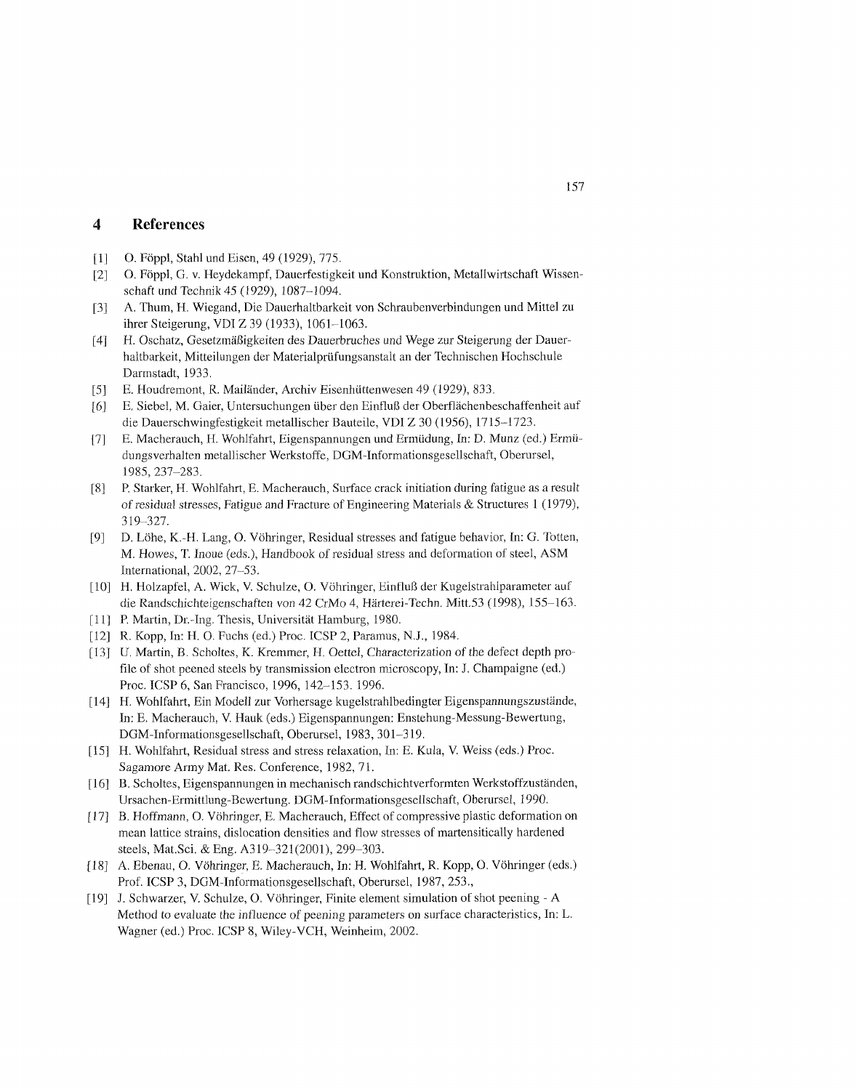#### **4 References**

- [1] O. Föppl, Stahl und Eisen, 49 (1929), 775.
- [2] O. Föppl, G. v. Heydekampf, Dauerfestigkeit und Konstruktion, Metallwirtschaft Wissenschaft und Technik 45 (1929), 1087-1094.
- 131 A. Thum, H. Wiegand, Die Dauerhaltbarkeit von Schraubenverbindungen und Mittel zu ihrer Steigerung, VDI Z 39 (1933), 1061-1063.
- [4] H. Oschatz, Gesetzmäßigkeiten des Dauerbruches und Wege zur Steigerung der Dauerhaltbarkeit, Mitteilungen der Materialprüfungsanstalt an der Technischen Hochschule Darmstadt, 1933.
- 151 E. Houdremont, R. Mailänder, Archiv Eisenhüttenwesen 49 (1929), 833.<br>161 E. Siebel, M. Gaier, Untersuchungen über den Einfluß der Oberflächenbe
- [6] E. Siebel, M. Gaier, Untersuchungen uber den EinfluB der Oberflachenbeschaffenheit auf die Dauerschwingfestigkeit metallischer Bauteile, VDI Z 30 (l956), 1715-1723.
- [7] E. Macherauch, H. WohIfahrt, Eigenspannungen und Ermudung, In: D. Munz (ed.) Ermiidungsverhalten metallischer Werkstoffe, DGM-Informationsgesellschaft, Oberursel, 1985,237-283,
- 181 P. Starker, H. Wohlfahrt, E. Macherauch, Surface crack initiation during fatigue as a result of residual stresses, Fatigue and Fracture of Engineering Materials & Structures 1 (1979), 3 19-327.
- [9] D. Löhe, K.-H. Lang, O. Vöhringer, Residual stresses and fatigue behavior, In: G. Totten, M. Howes, T. Inoue (eds.), Handbook of residual stress and deformation of steel, ASM International, 2002, 27-53.
- [10] H. Holzapfel, A. Wick, V. Schulze, O. Vöhringer, Einfluß der Kugelstrahiparameter auf die Randschichteigenschaften von 42 CrMo 4, Harterei-Techn. Mitt.53 (1998), 155-163.
- [11] P. Martin, Dr.-Ing. Thesis, Universität Hamburg, 1980.
- 1121 R. Kopp, In: H. 0. Fuchs (ed.) Proc. ICSP 2, Paramus, N.J., 1984.
- [13] U. Martin, B. Scholtes, K. Kremmer, H. Oettel, Characterization of the defect depth profile of shot peened steels by transmission electron microscopy, In: J. Champaigne (ed.) Proc. ICSP 6, San Francisco, 1996, 142-153. 1996.
- 1141 H. Wohlfahrt, Ein Modell zur Vorhersage kugelstrahlbedingter Eigenspannungszustiinde, In: E. Macherauch, V. Hauk (eds.) Eigenspannungen: Enstehung-Messung-Bewertung, DGM-Informationsgesellschaft, Oberursel, 1983, 301-319.
- 1151 H. Wohlfahrt, Residual stress and stress relaxation, In: E. Kula, V. Weiss (eds.) Proc. Sagamore Army Mat. Res. Conference, 1982, 71.
- [16] B. Scholtes, Eigenspannungen in mechanisch randschichtverformten Werkstoffzuständen, Ursachen-Ermittlung-Bewertung. DGM-Informationsgesellschaft, Oberursel, 1990.
- (171 B. Hoffmann, 0. Vohringer, E. Macherauch, Effect of compressive plastic deformation on mean lattice strains, dislocation densities and flow stresses of martensitically hardened steels, Mat.Sci. & Eng. A319-321(2001), 299-303.
- [I 81 A. Ebenau, 0. Vohringer, E. Macherauch, In: **W.** Wohlfahrt, R. Kopp, 0. Vohringer (eds.) Prof. ICSP 3, DGM-Informationsgesellschaft, Oberursel, 1987, 253.,
- [19] J. Schwarzer, V. Schulze, O. Vöhringer, Finite element simulation of shot peening A Method to evaluate the influence of peening parameters on surface characteristics, In: L. Wagner (ed.) Proc. ICSP 8, Wiley-VCH, Weinheim, 2002.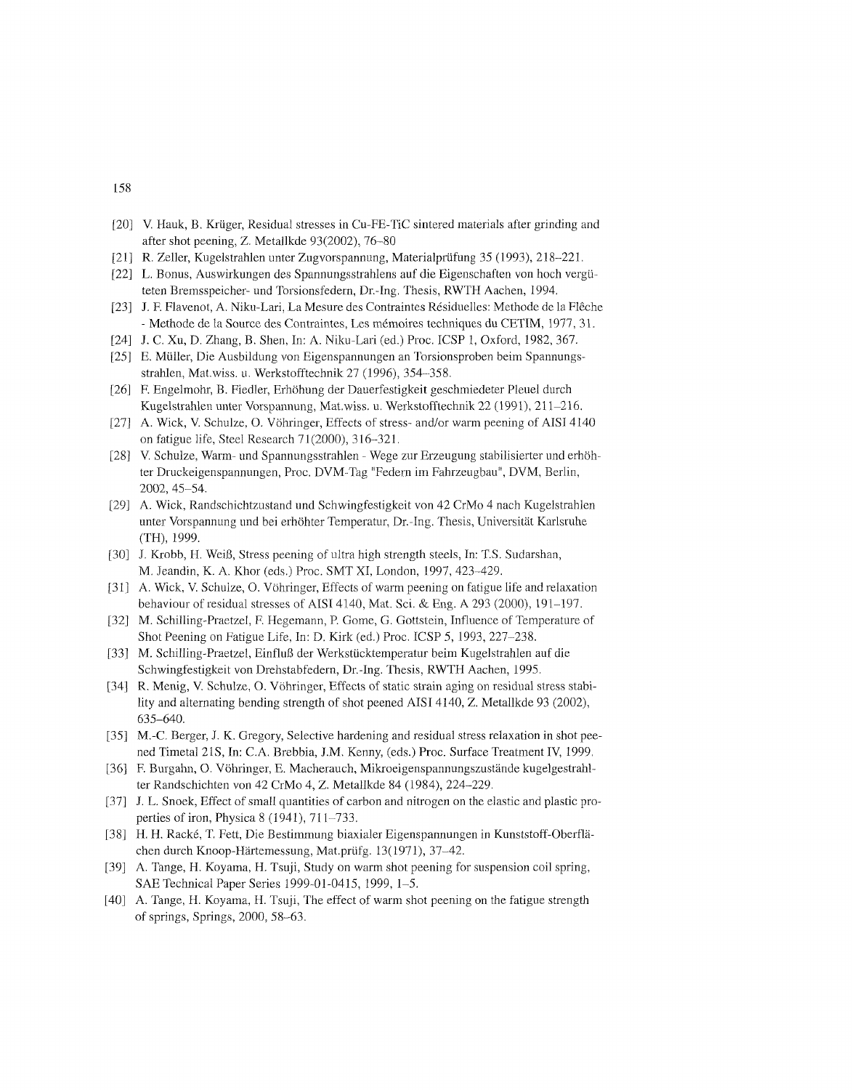- [20] V. Hauk, B. Kriiger, Residual stresses in Cu-FE-TiC sintered materials after grinding and after shot peening, Z. Metallkde 93(2002), 76-80
- [21] R. Zeller, Kugelstrahlen unter Zugvorspannung, Materialprüfung 35 (1993), 218-221.
- [22] L. Bonus, Auswirkungen des Spannungsstrahlens auf die Eigenschaften von hoch vergiiteten Bremsspeicher- und Torsionsfedern, Dr.-Ing. Thesis, RWTH Aachen, 1994.
- [23] J. F. Flavenot, A. Niku-Lari, La Mesure des Contraintes Résiduelles: Methode de la Flêche - Methode de la Source des Contraintes, Les mémoires techniques du CETIM, 1977, 31.
- [24] J. C. Xu, D. Zhang, B. Shen, In: A. Niku-Lari (ed.) Proc. ICSP 1, Oxford, 1982, 367.
- [25] E. Muller, Die Ausbildung von Eigenspannungen an Torsionsproben beim Spannungsstrahlen, Mat.wiss. u. Werkstofftechnik 27 (1996), 354-358.
- [26] F. Engelmohr, B. Fiedler, Erhohung der Dauerfestigkeit geschrniedeter Pleuel durch Kugelstrahlen unter Vorspannung, Mat.wiss. u. Werkstofftechnik 22 (1991), 211–216.
- 1271 A. Wick, V. Schulze, 0. Vohringer, Effects of stress- and/or warm peening of AISI 4 140 on fatigue life, Steel Research 71(2000), 316-321.
- [28] V. Schulze, Warm- und Spannungsstrahlen Wege zur Erzeugung stabilisierter und erhöhter Druckeigenspannungen, Proc. DVM-Tag "Federn im Fahrzeugbau", DVM, Berlin, 2002,45-54.
- 1291 A. Wick, Randschichtzustand und Schwingfestigkeit von 42 CrMo 4 nach Kugelstrahlen unter Vorspannung und bei erhohter Temperatur, Dr.-Ing. Thesis, Universitat Karlsruhe (TH), 1999.
- [30] J. Krobb, H. WeiB, Stress peening of ultra high strength steels, In: T.S. Sudarshan, M. Jeandin, K. A. Khor (eds.) Proc. SMT XI, London, 1997,423-429.
- [31] A. Wick, V. Schulze, O. Vöhringer, Effects of warm peening on fatigue life and relaxation behaviour of residual stresses of AISI 4140, Mat. Sci. & Eng. A 293 (2000), 191-197.
- [32] M. Schilling-Praetzel, F. Hegemann, P. Gome, G. Gottstein, Influence of Temperature of Shot Peening on Fatigue Life, In: D. Kirk (ed.) Proc. ICSP 5, 1993, 227–238.
- [33] M. Schilling-Praetzel, Einfluß der Werkstücktemperatur beim Kugelstrahlen auf die Schwingfestigkeit von Drehstabfedern, Dr.-Ing. Thesis, RWTH Aachen, 1995.
- [34] R. Menig, V. Schulze, 0. Vohringer, Effects of static strain aging on residual stress stability and alternating bending strength of shot peened AISI 4140, 2. Metallkde 93 (2002), 635-640.
- [35] M.-C. Berger, J. K. Gregory, Selective hardening and residual stress relaxation in shot peened Timetal 21S, In: C.A. Brebbia, J.M. Kenny, (eds.) Proc. Surface Treatment IV, 1999.
- [36] F. Burgahn, O. Vöhringer, E. Macherauch, Mikroeigenspannungszustände kugelgestrahlter Randschichten von 42 CrMo 4, Z. Metallkde 84 (1984), 224-229.
- [37] J. L. Snoek, Effect of small quantities of carbon and nitrogen on the elastic and plastic properties of iron, Physica 8 (1941), 71 1-733.
- [38] H. H. Racké, T. Fett, Die Bestimmung biaxialer Eigenspannungen in Kunststoff-Oberflächen durch Knoop-Hartemessung, Mat.prufg. 13(1971), 37-42.
- [39] A. Tange, H. Koyama, H. Tsuji, Study on warm shot peening for suspension coil spring, SAE Technical Paper Series 1999-01-0415, 1999, 1-5.
- [40] A. Tange, H. Koyama, H. Tsuji, The effect of warm shot peening on the fatigue strength of springs, Springs, 2000, 58-63.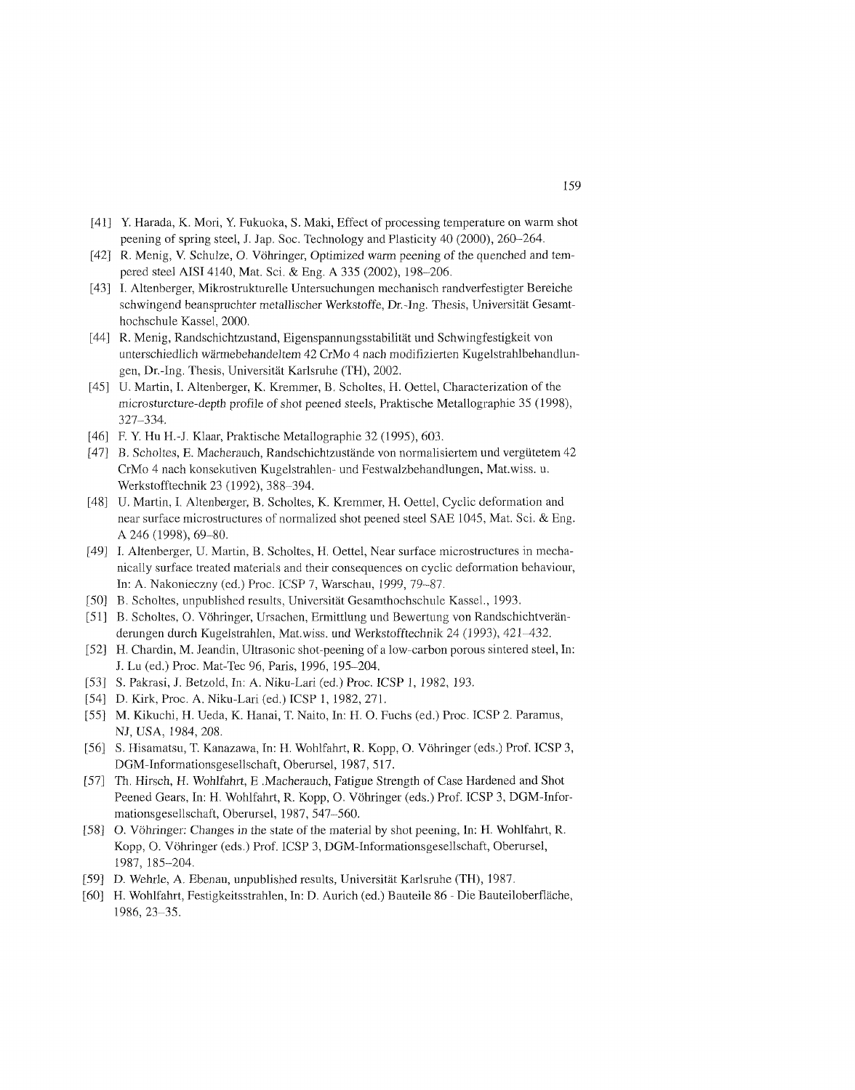- 1411 Y. Harada, K. Mori, Y. Fukuoka, S. Maki, Effect of processing temperature on warm shot peening of spring steel, J. Jap. Soc. Technology and Plasticity 40 (2000), 260-264.
- [421 R. Menig, V. Schulze, 0. Vohringer, Optimized warm peening of the quenched and tempered steel ASS1 4140, Mat. Sci. & Eng. A 335 (2002), 198-206.
- [43] I. Altenberger, Mikrostrukturelle Untersuchungen mechanisch randverfestigter Bereiche schwingend beanspruchter metallischer Werkstoffe, Dr.-lng. Thesis, Universitiit Gesamthochschule Kassel, 2000.
- [44] K. Menig, Randschichtzustand, Eigenspannungsstabilitat und Schwingfestigkeit von unterschiedlich wärmebehandeltem 42 CrMo 4 nach modifizierten Kugelstrahlbehandlungen, Dr.-Ing. Thesis, Universität Karlsruhe (TH), 2002.
- [45] U. Martin, 1. Altenberger, K. Kremmer, B. Scholtes, H. Oettel, Characterization of the microsturcture-depth profile of shot peened steels, Praktische Metallographie 35 (1998), 327-334.
- [46] F. Y. Hu H.-J. Klaar, Praktische Metallographie 32 (1995), 603.
- [47] B. Scholtes, E. Macherauch, Kandschichtzustande von normalisiertem und vergiitetem 42 CrMo 4 nach konsekutiven Kugelstrahlen- und Festwalzbehandlungen, Mat.wiss. u. Werkstofftechnik 23 (1992), 388-394.
- 1481 U. Martin, I. Altenberger, B. Scholtes, K. Kremmer, H. Oettel, Cyclic deformation and near surface microstructures of normalized shot peened steel SAE 1045, Mat. Sci. & Eng. A 246 (1998), 69-80.
- [49] I. Altenberger, U. Martin, B. Scholtes, H. Oettel, Near surface microstructures in mechanically surface treated materials and their consequences on cyclic deformation behavionr, In: A. Nakonieczny (ed.) Proc. iCSP 7, 'Warschau, i999, 79-87.
- [50] B. Scholtes, unpublished results, Universität Gesamthochschule Kassel., 1993.
- [51] B. Scholtes, O. Vöhringer, Ursachen, Ermittlung und Bewertung von Randschichtveränderungen durch Kugelstrahlen, Mat.wiss. und Werkstofftechnik 24 (1993), 421-432.
- 1521 H. Chardin, M. Jeandin, Ultrasonic shot-peening of a low-carbon porous sintered steel, In: J. Lu (ed.) Proc. Mat-Tee 96, Paris, 1996, 195-204.
- [53j S. Pakrasi, J. Betzold, In: A. Niku-Lari (ed.) Proc. ICSP 1, 1982, 193.
- 1541 D. Kirk, Proc. A. Niku-Lari (ed.) ICSP 1, 1982, 271.
- [SS] M. Kikuchi, H. Ueda, K. Hanai, T. Naito, In: H. 0. Fuchs (ed.) Proc. ICSP 2. Paramns, NJ, USA, 1984,208.
- [56] S. Hisamatsu, T. Kanazawa, In: H. Wohlfahrt, R. Kopp, 0. Vohringer (eds.) Prof. ICSP 3, DGM-Informationsgesellschaft, Oberursel, 1987, 517.
- (571 Th. Wirsch, H. Wohlfahrt, E .Macherauch, Fatigue Strength of Case Hardened and Shot Peened Gears, In: **1-1.** Wohlfahrt, R. Kopp, 0. Vohringer (eds.) Prof. ICSP 3, DGM-Informationsgesellschaft, Oberursel, 1987, 547-560.
- [58] O. Vöhringer: Changes in the state of the material by shot peening, In: H. Wohlfahrt, R. Kopp, 0. Vohringer (eds.) Prof. ICSP 3, DGM-Infbrmationsgesellschaft, Oberursel, 1987, 185-204.
- [59] D. Wehrle, A. Ebenau, unpublished results, Universitat Karlsruhe (TH), 1987.
- [60] H. Wohlfahrt, Festigkeitsstrahlen, In: D. Aurich (ed.) Bauteile 86 Die Bauteiloberflache, 1986,23-35.